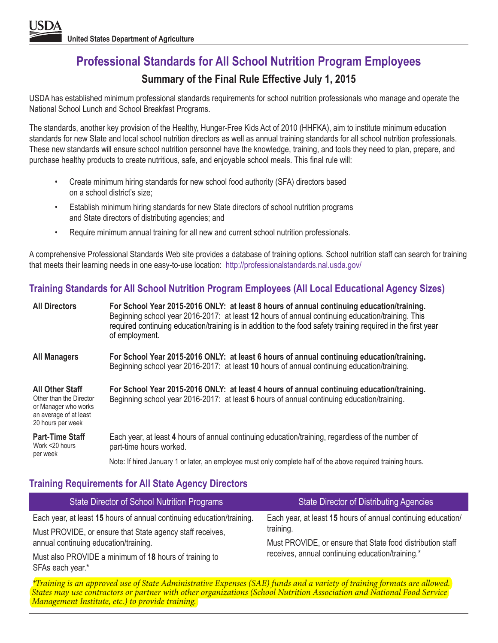## **Professional Standards for All School Nutrition Program Employees Summary of the Final Rule Effective July 1, 2015**

USDA has established minimum professional standards requirements for school nutrition professionals who manage and operate the National School Lunch and School Breakfast Programs.

The standards, another key provision of the Healthy, Hunger-Free Kids Act of 2010 (HHFKA), aim to institute minimum education standards for new State and local school nutrition directors as well as annual training standards for all school nutrition professionals. These new standards will ensure school nutrition personnel have the knowledge, training, and tools they need to plan, prepare, and purchase healthy products to create nutritious, safe, and enjoyable school meals. This final rule will:

- Create minimum hiring standards for new school food authority (SFA) directors based on a school district's size;
- Establish minimum hiring standards for new State directors of school nutrition programs and State directors of distributing agencies; and
- Require minimum annual training for all new and current school nutrition professionals.

A comprehensive Professional Standards Web site provides a database of training options. School nutrition staff can search for training that meets their learning needs in one easy-to-use location: http://professionalstandards.nal.usda.gov/

## **Training Standards for All School Nutrition Program Employees (All Local Educational Agency Sizes)**

| <b>All Directors</b>                                                                                                     | For School Year 2015-2016 ONLY: at least 8 hours of annual continuing education/training.<br>Beginning school year 2016-2017: at least 12 hours of annual continuing education/training. This<br>required continuing education/training is in addition to the food safety training required in the first year<br>of employment. |
|--------------------------------------------------------------------------------------------------------------------------|---------------------------------------------------------------------------------------------------------------------------------------------------------------------------------------------------------------------------------------------------------------------------------------------------------------------------------|
| <b>All Managers</b>                                                                                                      | For School Year 2015-2016 ONLY: at least 6 hours of annual continuing education/training.<br>Beginning school year 2016-2017: at least 10 hours of annual continuing education/training.                                                                                                                                        |
| <b>All Other Staff</b><br>Other than the Director<br>or Manager who works<br>an average of at least<br>20 hours per week | For School Year 2015-2016 ONLY: at least 4 hours of annual continuing education/training.<br>Beginning school year 2016-2017: at least 6 hours of annual continuing education/training.                                                                                                                                         |
| <b>Part-Time Staff</b><br>Work <20 hours                                                                                 | Each year, at least 4 hours of annual continuing education/training, regardless of the number of<br>part-time hours worked.                                                                                                                                                                                                     |
| per week                                                                                                                 | Note: If hired January 1 or later, an employee must only complete half of the above required training hours.                                                                                                                                                                                                                    |

## **Training Requirements for All State Agency Directors**

| State Director of School Nutrition Programs                           | <b>State Director of Distributing Agencies</b>               |  |  |  |
|-----------------------------------------------------------------------|--------------------------------------------------------------|--|--|--|
| Each year, at least 15 hours of annual continuing education/training. | Each year, at least 15 hours of annual continuing education/ |  |  |  |
| Must PROVIDE, or ensure that State agency staff receives,             | training.                                                    |  |  |  |
| annual continuing education/training.                                 | Must PROVIDE, or ensure that State food distribution staff   |  |  |  |
| Must also PROVIDE a minimum of 18 hours of training to                | receives, annual continuing education/training.*             |  |  |  |
| SFAs each year.*                                                      | $(0.17)$ $(1 \quad 1 \quad 1 \quad 1 \quad 1$                |  |  |  |

*\*Training is an approved use of State Administrative Expenses (SAE) funds and a variety of training formats are allowed. States may use contractors or partner with other organizations (School Nutrition Association and National Food Service Management Institute, etc.) to provide training.*